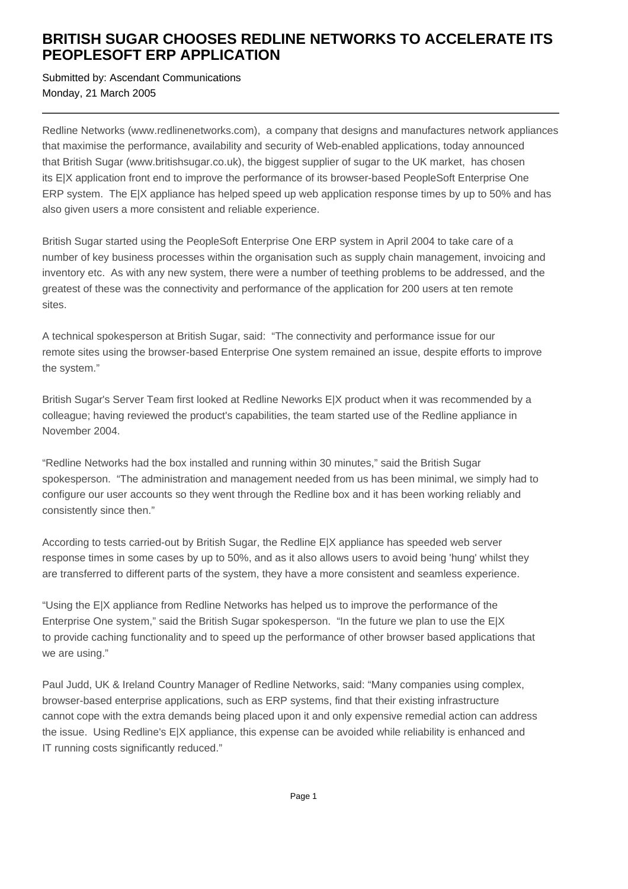## **BRITISH SUGAR CHOOSES REDLINE NETWORKS TO ACCELERATE ITS PEOPLESOFT ERP APPLICATION**

Submitted by: Ascendant Communications Monday, 21 March 2005

Redline Networks (www.redlinenetworks.com), a company that designs and manufactures network appliances that maximise the performance, availability and security of Web-enabled applications, today announced that British Sugar (www.britishsugar.co.uk), the biggest supplier of sugar to the UK market, has chosen its E|X application front end to improve the performance of its browser-based PeopleSoft Enterprise One ERP system. The E|X appliance has helped speed up web application response times by up to 50% and has also given users a more consistent and reliable experience.

British Sugar started using the PeopleSoft Enterprise One ERP system in April 2004 to take care of a number of key business processes within the organisation such as supply chain management, invoicing and inventory etc. As with any new system, there were a number of teething problems to be addressed, and the greatest of these was the connectivity and performance of the application for 200 users at ten remote sites.

A technical spokesperson at British Sugar, said: "The connectivity and performance issue for our remote sites using the browser-based Enterprise One system remained an issue, despite efforts to improve the system."

British Sugar's Server Team first looked at Redline Neworks E|X product when it was recommended by a colleague; having reviewed the product's capabilities, the team started use of the Redline appliance in November 2004.

"Redline Networks had the box installed and running within 30 minutes," said the British Sugar spokesperson. "The administration and management needed from us has been minimal, we simply had to configure our user accounts so they went through the Redline box and it has been working reliably and consistently since then."

According to tests carried-out by British Sugar, the Redline E|X appliance has speeded web server response times in some cases by up to 50%, and as it also allows users to avoid being 'hung' whilst they are transferred to different parts of the system, they have a more consistent and seamless experience.

"Using the E|X appliance from Redline Networks has helped us to improve the performance of the Enterprise One system," said the British Sugar spokesperson. "In the future we plan to use the E|X to provide caching functionality and to speed up the performance of other browser based applications that we are using."

Paul Judd, UK & Ireland Country Manager of Redline Networks, said: "Many companies using complex, browser-based enterprise applications, such as ERP systems, find that their existing infrastructure cannot cope with the extra demands being placed upon it and only expensive remedial action can address the issue. Using Redline's E|X appliance, this expense can be avoided while reliability is enhanced and IT running costs significantly reduced."